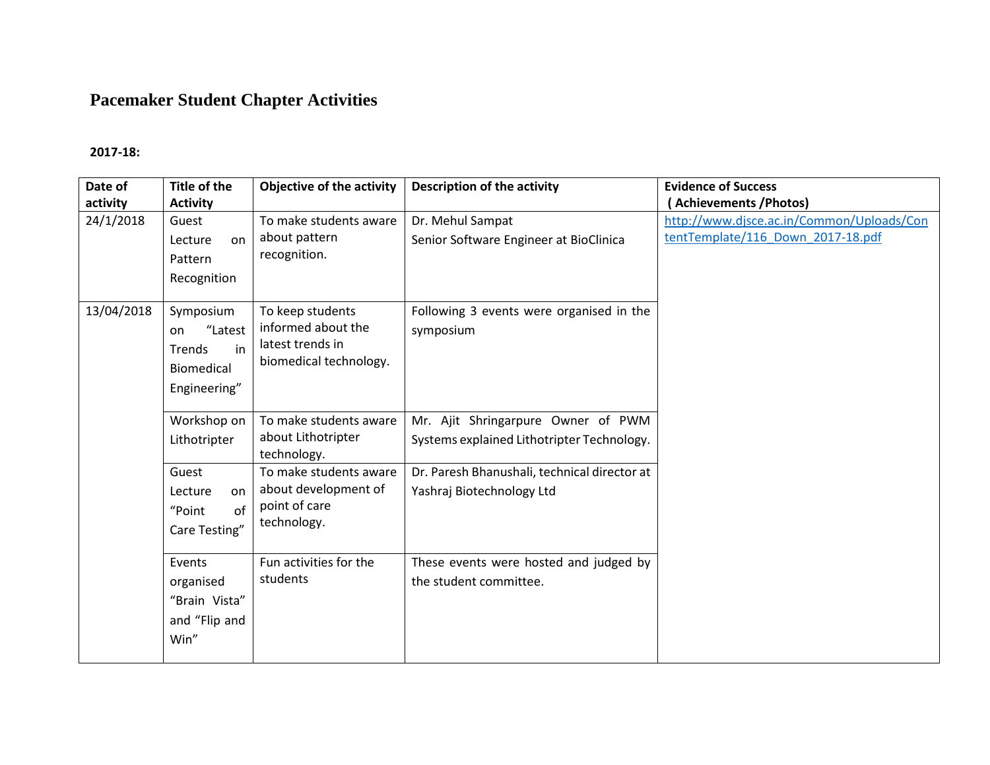# **Pacemaker Student Chapter Activities**

#### **2017-18:**

| Date of<br>activity | <b>Title of the</b><br><b>Activity</b>                                          | <b>Objective of the activity</b>                                                     | <b>Description of the activity</b>                                               | <b>Evidence of Success</b><br>(Achievements / Photos)                          |
|---------------------|---------------------------------------------------------------------------------|--------------------------------------------------------------------------------------|----------------------------------------------------------------------------------|--------------------------------------------------------------------------------|
| 24/1/2018           | Guest<br>Lecture<br>on<br>Pattern<br>Recognition                                | To make students aware<br>about pattern<br>recognition.                              | Dr. Mehul Sampat<br>Senior Software Engineer at BioClinica                       | http://www.djsce.ac.in/Common/Uploads/Con<br>tentTemplate/116 Down 2017-18.pdf |
| 13/04/2018          | Symposium<br>"Latest<br>on<br>in<br>Trends<br><b>Biomedical</b><br>Engineering" | To keep students<br>informed about the<br>latest trends in<br>biomedical technology. | Following 3 events were organised in the<br>symposium                            |                                                                                |
|                     | Workshop on<br>Lithotripter                                                     | To make students aware<br>about Lithotripter<br>technology.                          | Mr. Ajit Shringarpure Owner of PWM<br>Systems explained Lithotripter Technology. |                                                                                |
|                     | Guest<br>Lecture<br>on<br>of<br>"Point<br>Care Testing"                         | To make students aware<br>about development of<br>point of care<br>technology.       | Dr. Paresh Bhanushali, technical director at<br>Yashraj Biotechnology Ltd        |                                                                                |
|                     | Events<br>organised<br>"Brain Vista"<br>and "Flip and<br>Win"                   | Fun activities for the<br>students                                                   | These events were hosted and judged by<br>the student committee.                 |                                                                                |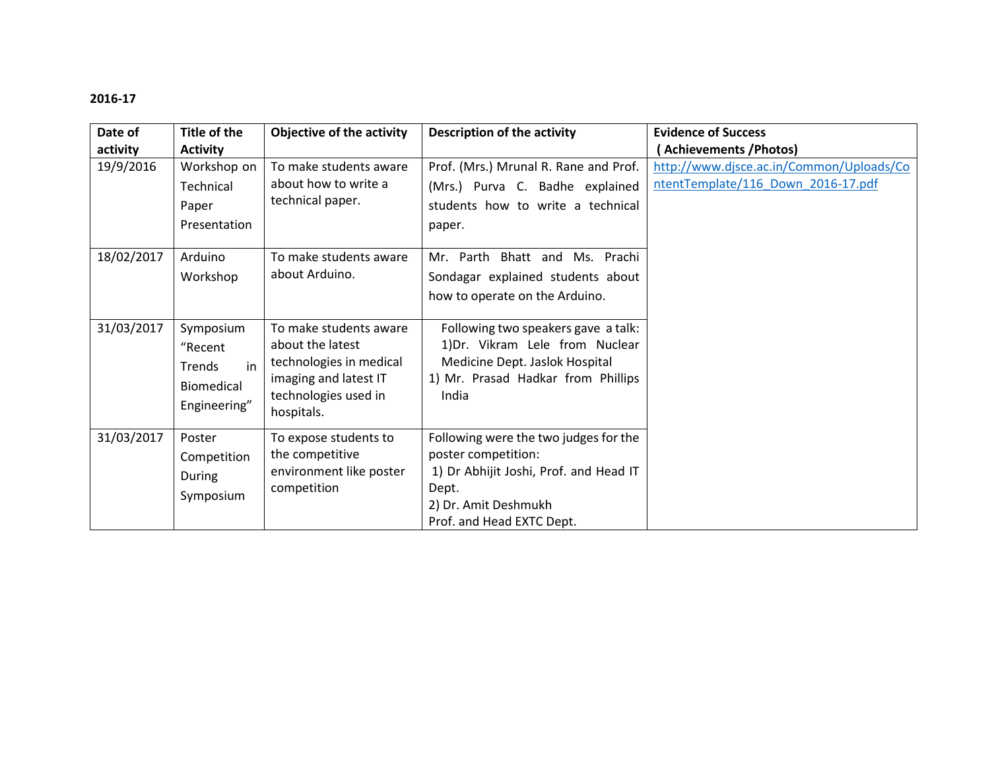| Date of    | Title of the                                                              | <b>Objective of the activity</b>                                                                                                     | <b>Description of the activity</b>                                                                                                                                   | <b>Evidence of Success</b>                                                     |
|------------|---------------------------------------------------------------------------|--------------------------------------------------------------------------------------------------------------------------------------|----------------------------------------------------------------------------------------------------------------------------------------------------------------------|--------------------------------------------------------------------------------|
| activity   | <b>Activity</b>                                                           |                                                                                                                                      |                                                                                                                                                                      | <b>Achievements / Photos)</b>                                                  |
| 19/9/2016  | Workshop on<br>Technical<br>Paper<br>Presentation                         | To make students aware<br>about how to write a<br>technical paper.                                                                   | Prof. (Mrs.) Mrunal R. Rane and Prof.<br>(Mrs.) Purva C. Badhe explained<br>students how to write a technical<br>paper.                                              | http://www.djsce.ac.in/Common/Uploads/Co<br>ntentTemplate/116 Down 2016-17.pdf |
| 18/02/2017 | Arduino<br>Workshop                                                       | To make students aware<br>about Arduino.                                                                                             | Mr. Parth Bhatt and Ms. Prachi<br>Sondagar explained students about<br>how to operate on the Arduino.                                                                |                                                                                |
| 31/03/2017 | Symposium<br>"Recent<br>in<br>Trends<br><b>Biomedical</b><br>Engineering" | To make students aware<br>about the latest<br>technologies in medical<br>imaging and latest IT<br>technologies used in<br>hospitals. | Following two speakers gave a talk:<br>1) Dr. Vikram Lele from Nuclear<br>Medicine Dept. Jaslok Hospital<br>1) Mr. Prasad Hadkar from Phillips<br>India              |                                                                                |
| 31/03/2017 | Poster<br>Competition<br>During<br>Symposium                              | To expose students to<br>the competitive<br>environment like poster<br>competition                                                   | Following were the two judges for the<br>poster competition:<br>1) Dr Abhijit Joshi, Prof. and Head IT<br>Dept.<br>2) Dr. Amit Deshmukh<br>Prof. and Head EXTC Dept. |                                                                                |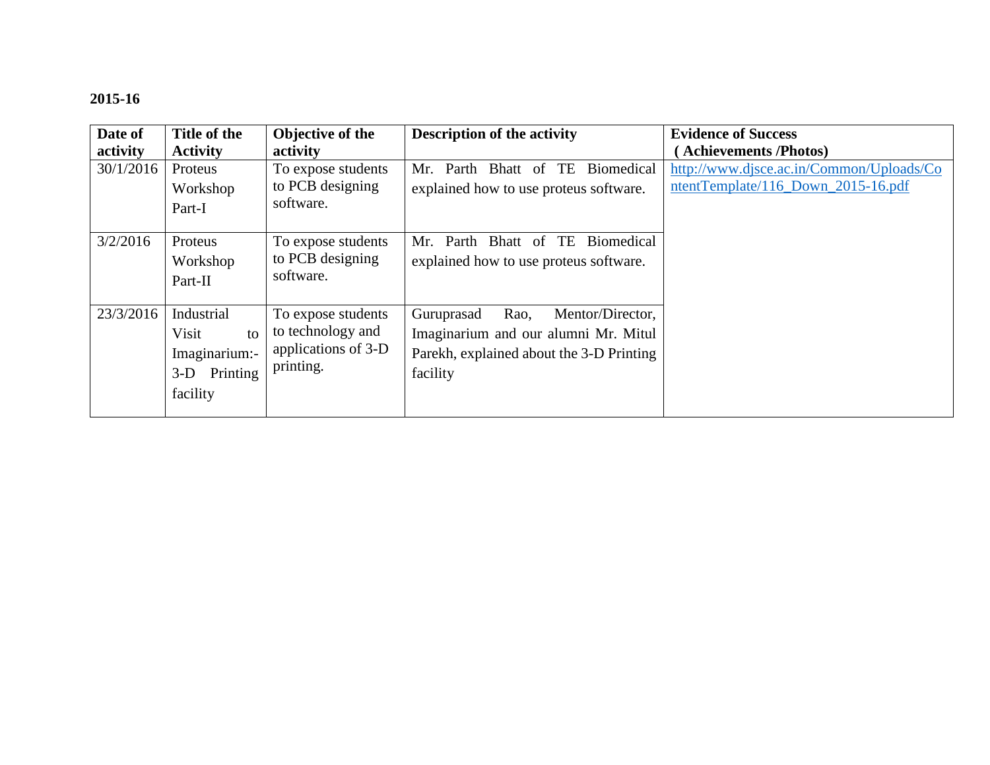| Date of   | Title of the                                                                | Objective of the                                                            | <b>Description of the activity</b>                                                                                                     | <b>Evidence of Success</b>                                                     |
|-----------|-----------------------------------------------------------------------------|-----------------------------------------------------------------------------|----------------------------------------------------------------------------------------------------------------------------------------|--------------------------------------------------------------------------------|
| activity  | <b>Activity</b>                                                             | activity                                                                    |                                                                                                                                        | (Achievements/Photos)                                                          |
| 30/1/2016 | Proteus<br>Workshop<br>Part-I                                               | To expose students<br>to PCB designing<br>software.                         | Parth Bhatt of TE<br>Biomedical<br>Mr.<br>explained how to use proteus software.                                                       | http://www.djsce.ac.in/Common/Uploads/Co<br>ntentTemplate/116_Down_2015-16.pdf |
| 3/2/2016  | Proteus<br>Workshop<br>Part-II                                              | To expose students<br>to PCB designing<br>software.                         | Parth Bhatt of TE Biomedical<br>Mr.<br>explained how to use proteus software.                                                          |                                                                                |
| 23/3/2016 | Industrial<br>Visit<br>to<br>Imaginarium:-<br>Printing<br>$3-D$<br>facility | To expose students<br>to technology and<br>applications of 3-D<br>printing. | Rao,<br>Mentor/Director,<br>Guruprasad<br>Imaginarium and our alumni Mr. Mitul<br>Parekh, explained about the 3-D Printing<br>facility |                                                                                |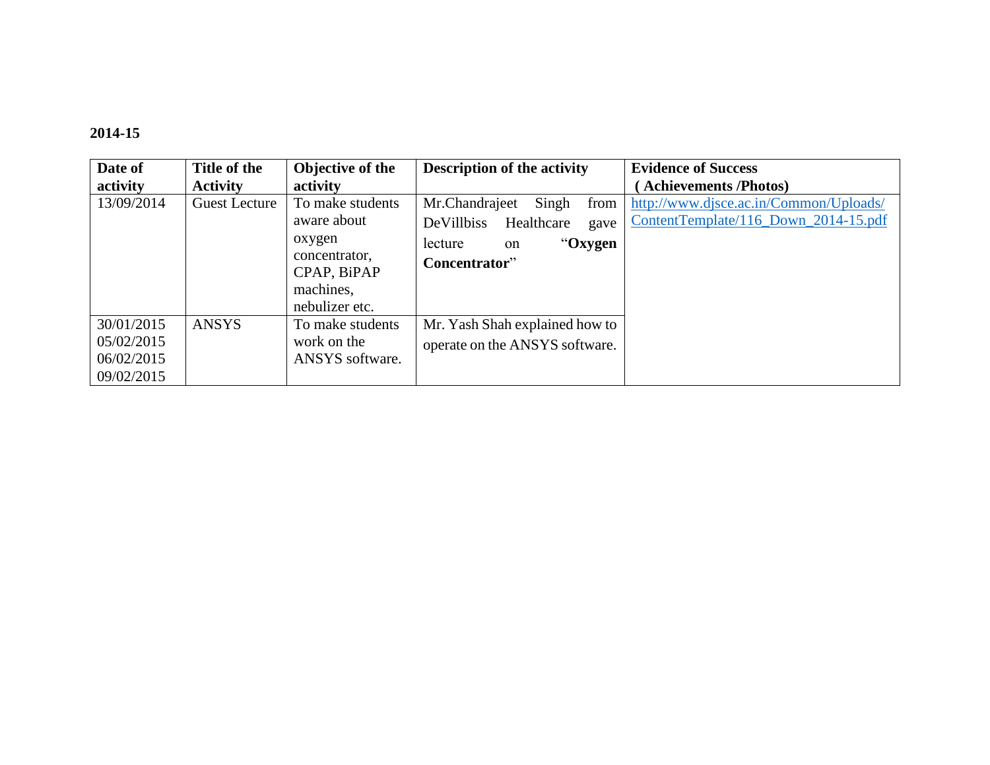| Date of    | Title of the         | Objective of the | <b>Description of the activity</b>      | <b>Evidence of Success</b>             |
|------------|----------------------|------------------|-----------------------------------------|----------------------------------------|
| activity   | <b>Activity</b>      | activity         |                                         | <b>Achievements /Photos)</b>           |
| 13/09/2014 | <b>Guest Lecture</b> | To make students | Mr.Chandrajeet<br>Singh<br>from         | http://www.djsce.ac.in/Common/Uploads/ |
|            |                      | aware about      | <b>DeVillbiss</b><br>Healthcare<br>gave | ContentTemplate/116_Down_2014-15.pdf   |
|            |                      | oxygen           | "Oxygen<br>lecture<br><sub>on</sub>     |                                        |
|            |                      | concentrator,    | Concentrator"                           |                                        |
|            |                      | CPAP, BiPAP      |                                         |                                        |
|            |                      | machines,        |                                         |                                        |
|            |                      | nebulizer etc.   |                                         |                                        |
| 30/01/2015 | <b>ANSYS</b>         | To make students | Mr. Yash Shah explained how to          |                                        |
| 05/02/2015 |                      | work on the      | operate on the ANSYS software.          |                                        |
| 06/02/2015 |                      | ANSYS software.  |                                         |                                        |
| 09/02/2015 |                      |                  |                                         |                                        |